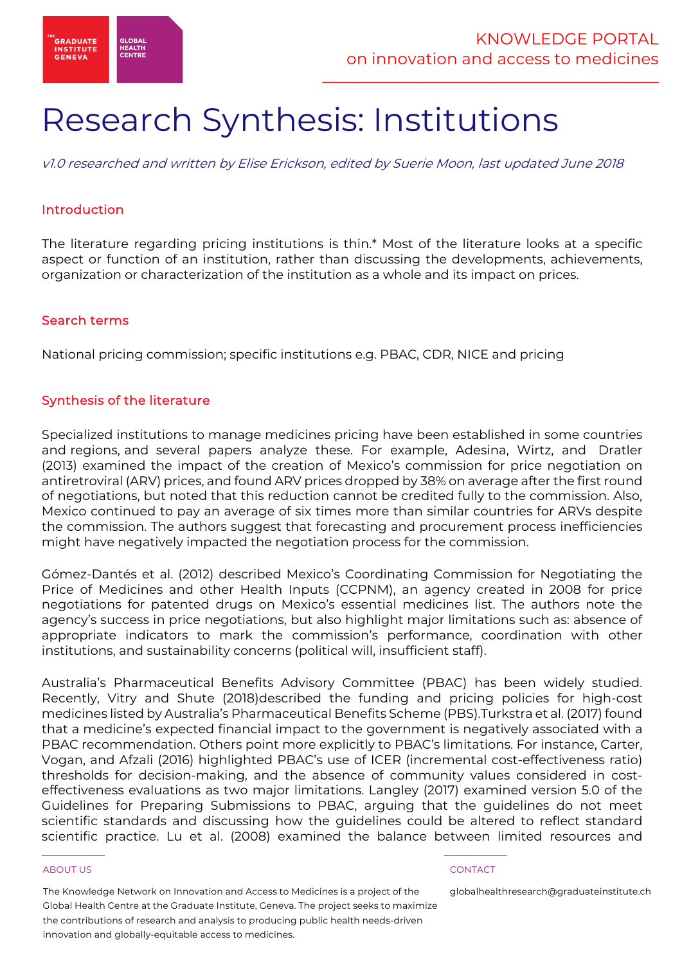

# Research Synthesis: Institutions

v1.0 researched and written by Elise Erickson, edited by Suerie Moon, last updated June 2018

# Introduction

The literature regarding pricing institutions is thin.\* Most of the literature looks at a specific aspect or function of an institution, rather than discussing the developments, achievements, organization or characterization of the institution as a whole and its impact on prices.

### Search terms

National pricing commission; specific institutions e.g. PBAC, CDR, NICE and pricing

### Synthesis of the literature

Specialized institutions to manage medicines pricing have been established in some countries and regions, and several papers analyze these. For example, Adesina, Wirtz, and Dratler (2013) examined the impact of the creation of Mexico's commission for price negotiation on antiretroviral (ARV) prices, and found ARV prices dropped by 38% on average after the first round of negotiations, but noted that this reduction cannot be credited fully to the commission. Also, Mexico continued to pay an average of six times more than similar countries for ARVs despite the commission. The authors suggest that forecasting and procurement process inefficiencies might have negatively impacted the negotiation process for the commission.

Gómez-Dantés et al. (2012) described Mexico's Coordinating Commission for Negotiating the Price of Medicines and other Health Inputs (CCPNM), an agency created in 2008 for price negotiations for patented drugs on Mexico's essential medicines list. The authors note the agency's success in price negotiations, but also highlight major limitations such as: absence of appropriate indicators to mark the commission's performance, coordination with other institutions, and sustainability concerns (political will, insufficient staff).

Australia's Pharmaceutical Benefits Advisory Committee (PBAC) has been widely studied. Recently, Vitry and Shute (2018)described the funding and pricing policies for high-cost medicines listed by Australia's Pharmaceutical Benefits Scheme (PBS).Turkstra et al. (2017) found that a medicine's expected financial impact to the government is negatively associated with a PBAC recommendation. Others point more explicitly to PBAC's limitations. For instance, Carter, Vogan, and Afzali (2016) highlighted PBAC's use of ICER (incremental cost-effectiveness ratio) thresholds for decision-making, and the absence of community values considered in costeffectiveness evaluations as two major limitations. Langley (2017) examined version 5.0 of the Guidelines for Preparing Submissions to PBAC, arguing that the guidelines do not meet scientific standards and discussing how the guidelines could be altered to reflect standard scientific practice. Lu et al. (2008) examined the balance between limited resources and

#### ABOUT US CONTACT AND RESERVE THE RELEASE OF THE RELEASE OF THE RELEASE OF THE RELEASE OF THE RELEASE OF THE RELEASE OF THE RELEASE OF THE RELEASE OF THE RELEASE OF THE RELEASE OF THE RELEASE OF THE RELEASE OF THE RELEASE O

The Knowledge Network on Innovation and Access to Medicines is a project of the Global Health Centre at the Graduate Institute, Geneva. The project seeks to maximize the contributions of research and analysis to producing public health needs-driven innovation and globally-equitable access to medicines.

 $\frac{1}{2}$  , and the set of the set of the set of the set of the set of the set of the set of the set of the set of the set of the set of the set of the set of the set of the set of the set of the set of the set of the set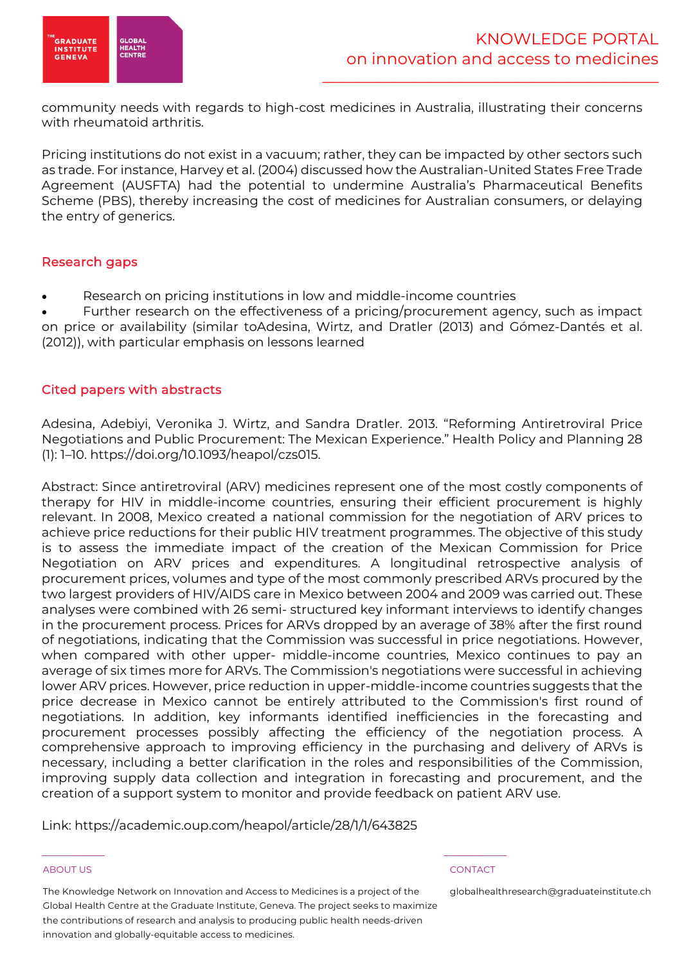

community needs with regards to high-cost medicines in Australia, illustrating their concerns with rheumatoid arthritis.

Pricing institutions do not exist in a vacuum; rather, they can be impacted by other sectors such as trade. For instance, Harvey et al. (2004) discussed how the Australian-United States Free Trade Agreement (AUSFTA) had the potential to undermine Australia's Pharmaceutical Benefits Scheme (PBS), thereby increasing the cost of medicines for Australian consumers, or delaying the entry of generics.

# Research gaps

• Research on pricing institutions in low and middle-income countries

• Further research on the effectiveness of a pricing/procurement agency, such as impact on price or availability (similar toAdesina, Wirtz, and Dratler (2013) and Gómez-Dantés et al. (2012)), with particular emphasis on lessons learned

# Cited papers with abstracts

Adesina, Adebiyi, Veronika J. Wirtz, and Sandra Dratler. 2013. "Reforming Antiretroviral Price Negotiations and Public Procurement: The Mexican Experience." Health Policy and Planning 28 (1): 1–10. https://doi.org/10.1093/heapol/czs015.

Abstract: Since antiretroviral (ARV) medicines represent one of the most costly components of therapy for HIV in middle-income countries, ensuring their efficient procurement is highly relevant. In 2008, Mexico created a national commission for the negotiation of ARV prices to achieve price reductions for their public HIV treatment programmes. The objective of this study is to assess the immediate impact of the creation of the Mexican Commission for Price Negotiation on ARV prices and expenditures. A longitudinal retrospective analysis of procurement prices, volumes and type of the most commonly prescribed ARVs procured by the two largest providers of HIV/AIDS care in Mexico between 2004 and 2009 was carried out. These analyses were combined with 26 semi- structured key informant interviews to identify changes in the procurement process. Prices for ARVs dropped by an average of 38% after the first round of negotiations, indicating that the Commission was successful in price negotiations. However, when compared with other upper- middle-income countries, Mexico continues to pay an average of six times more for ARVs. The Commission's negotiations were successful in achieving lower ARV prices. However, price reduction in upper-middle-income countries suggests that the price decrease in Mexico cannot be entirely attributed to the Commission's first round of negotiations. In addition, key informants identified inefficiencies in the forecasting and procurement processes possibly affecting the efficiency of the negotiation process. A comprehensive approach to improving efficiency in the purchasing and delivery of ARVs is necessary, including a better clarification in the roles and responsibilities of the Commission, improving supply data collection and integration in forecasting and procurement, and the creation of a support system to monitor and provide feedback on patient ARV use.

Link: https://academic.oup.com/heapol/article/28/1/1/643825

### ABOUT US CONTACT AND RESERVE THE RELEASE OF THE RELEASE OF THE RELEASE OF THE RELEASE OF THE RELEASE OF THE RELEASE OF THE RELEASE OF THE RELEASE OF THE RELEASE OF THE RELEASE OF THE RELEASE OF THE RELEASE OF THE RELEASE O

The Knowledge Network on Innovation and Access to Medicines is a project of the Global Health Centre at the Graduate Institute, Geneva. The project seeks to maximize the contributions of research and analysis to producing public health needs-driven innovation and globally-equitable access to medicines.

 $\frac{1}{2}$  , and the set of the set of the set of the set of the set of the set of the set of the set of the set of the set of the set of the set of the set of the set of the set of the set of the set of the set of the set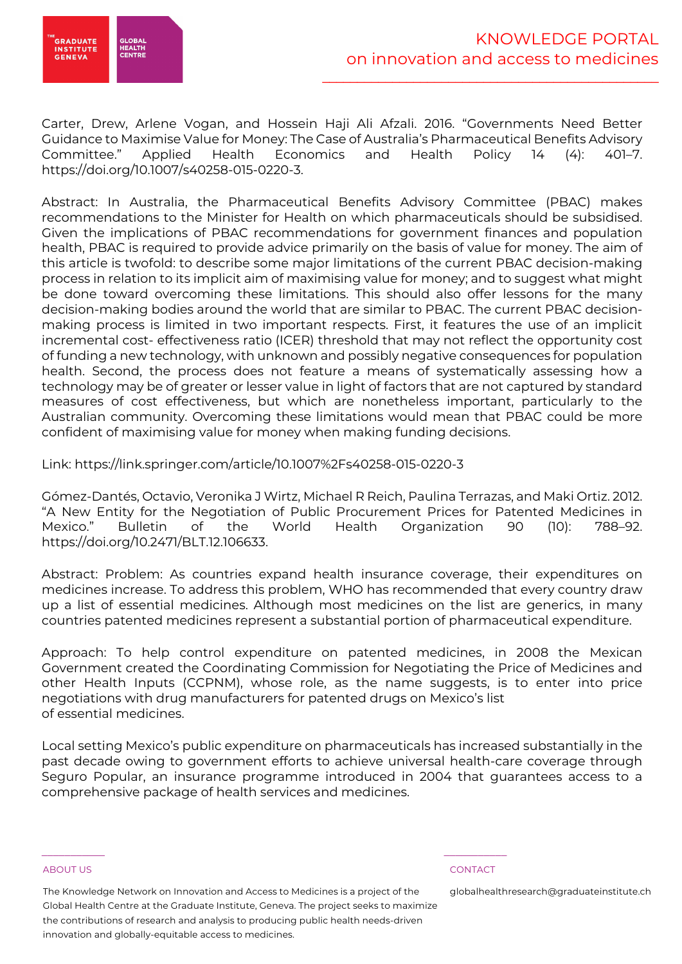

Carter, Drew, Arlene Vogan, and Hossein Haji Ali Afzali. 2016. "Governments Need Better Guidance to Maximise Value for Money: The Case of Australia's Pharmaceutical Benefits Advisory Committee." Applied Health Economics and Health Policy 14 (4): 401–7. https://doi.org/10.1007/s40258-015-0220-3.

Abstract: In Australia, the Pharmaceutical Benefits Advisory Committee (PBAC) makes recommendations to the Minister for Health on which pharmaceuticals should be subsidised. Given the implications of PBAC recommendations for government finances and population health, PBAC is required to provide advice primarily on the basis of value for money. The aim of this article is twofold: to describe some major limitations of the current PBAC decision-making process in relation to its implicit aim of maximising value for money; and to suggest what might be done toward overcoming these limitations. This should also offer lessons for the many decision-making bodies around the world that are similar to PBAC. The current PBAC decisionmaking process is limited in two important respects. First, it features the use of an implicit incremental cost- effectiveness ratio (ICER) threshold that may not reflect the opportunity cost of funding a new technology, with unknown and possibly negative consequences for population health. Second, the process does not feature a means of systematically assessing how a technology may be of greater or lesser value in light of factors that are not captured by standard measures of cost effectiveness, but which are nonetheless important, particularly to the Australian community. Overcoming these limitations would mean that PBAC could be more confident of maximising value for money when making funding decisions.

Link: https://link.springer.com/article/10.1007%2Fs40258-015-0220-3

Gómez-Dantés, Octavio, Veronika J Wirtz, Michael R Reich, Paulina Terrazas, and Maki Ortiz. 2012. "A New Entity for the Negotiation of Public Procurement Prices for Patented Medicines in Mexico." Bulletin of the World Health Organization 90 (10): 788–92. https://doi.org/10.2471/BLT.12.106633.

Abstract: Problem: As countries expand health insurance coverage, their expenditures on medicines increase. To address this problem, WHO has recommended that every country draw up a list of essential medicines. Although most medicines on the list are generics, in many countries patented medicines represent a substantial portion of pharmaceutical expenditure.

Approach: To help control expenditure on patented medicines, in 2008 the Mexican Government created the Coordinating Commission for Negotiating the Price of Medicines and other Health Inputs (CCPNM), whose role, as the name suggests, is to enter into price negotiations with drug manufacturers for patented drugs on Mexico's list of essential medicines.

Local setting Mexico's public expenditure on pharmaceuticals has increased substantially in the past decade owing to government efforts to achieve universal health-care coverage through Seguro Popular, an insurance programme introduced in 2004 that guarantees access to a comprehensive package of health services and medicines.

#### ABOUT US CONTACT AND RESERVE THE RELEASE OF THE RELEASE OF THE RELEASE OF THE RELEASE OF THE RELEASE OF THE RELEASE OF THE RELEASE OF THE RELEASE OF THE RELEASE OF THE RELEASE OF THE RELEASE OF THE RELEASE OF THE RELEASE O

The Knowledge Network on Innovation and Access to Medicines is a project of the Global Health Centre at the Graduate Institute, Geneva. The project seeks to maximize the contributions of research and analysis to producing public health needs-driven innovation and globally-equitable access to medicines.

 $\frac{1}{2}$  , and the set of the set of the set of the set of the set of the set of the set of the set of the set of the set of the set of the set of the set of the set of the set of the set of the set of the set of the set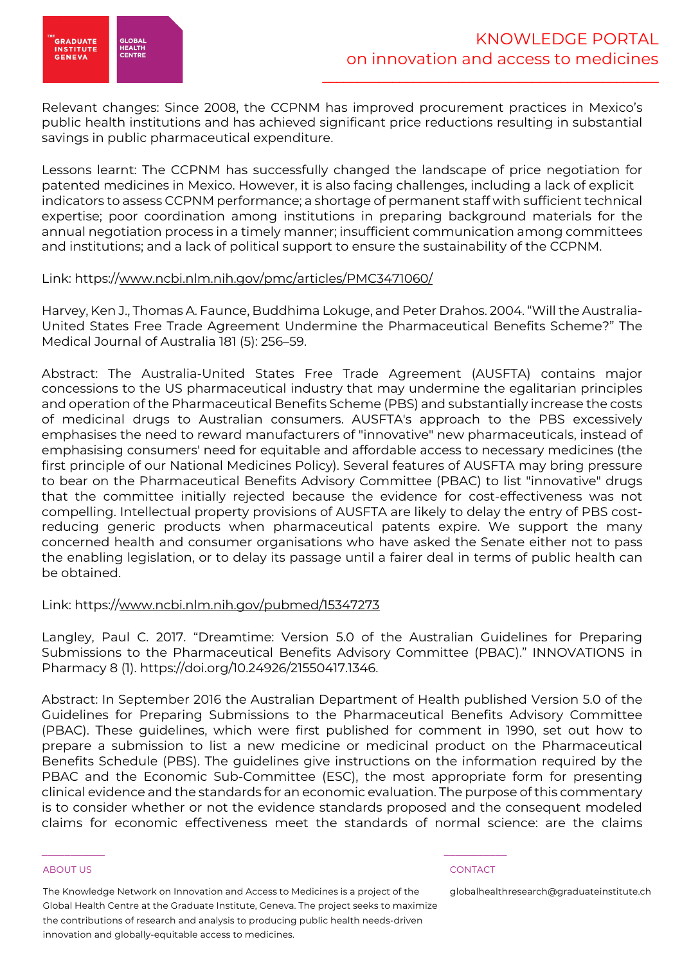

Relevant changes: Since 2008, the CCPNM has improved procurement practices in Mexico's public health institutions and has achieved significant price reductions resulting in substantial savings in public pharmaceutical expenditure.

Lessons learnt: The CCPNM has successfully changed the landscape of price negotiation for patented medicines in Mexico. However, it is also facing challenges, including a lack of explicit indicators to assess CCPNM performance; a shortage of permanent staff with sufficient technical expertise; poor coordination among institutions in preparing background materials for the annual negotiation process in a timely manner; insufficient communication among committees and institutions; and a lack of political support to ensure the sustainability of the CCPNM.

# Link: https://www.ncbi.nlm.nih.gov/pmc/articles/PMC3471060/

Harvey, Ken J., Thomas A. Faunce, Buddhima Lokuge, and Peter Drahos. 2004. "Will the Australia-United States Free Trade Agreement Undermine the Pharmaceutical Benefits Scheme?" The Medical Journal of Australia 181 (5): 256–59.

Abstract: The Australia-United States Free Trade Agreement (AUSFTA) contains major concessions to the US pharmaceutical industry that may undermine the egalitarian principles and operation of the Pharmaceutical Benefits Scheme (PBS) and substantially increase the costs of medicinal drugs to Australian consumers. AUSFTA's approach to the PBS excessively emphasises the need to reward manufacturers of "innovative" new pharmaceuticals, instead of emphasising consumers' need for equitable and affordable access to necessary medicines (the first principle of our National Medicines Policy). Several features of AUSFTA may bring pressure to bear on the Pharmaceutical Benefits Advisory Committee (PBAC) to list "innovative" drugs that the committee initially rejected because the evidence for cost-effectiveness was not compelling. Intellectual property provisions of AUSFTA are likely to delay the entry of PBS costreducing generic products when pharmaceutical patents expire. We support the many concerned health and consumer organisations who have asked the Senate either not to pass the enabling legislation, or to delay its passage until a fairer deal in terms of public health can be obtained.

# Link: https://www.ncbi.nlm.nih.gov/pubmed/15347273

Langley, Paul C. 2017. "Dreamtime: Version 5.0 of the Australian Guidelines for Preparing Submissions to the Pharmaceutical Benefits Advisory Committee (PBAC)." INNOVATIONS in Pharmacy 8 (1). https://doi.org/10.24926/21550417.1346.

Abstract: In September 2016 the Australian Department of Health published Version 5.0 of the Guidelines for Preparing Submissions to the Pharmaceutical Benefits Advisory Committee (PBAC). These guidelines, which were first published for comment in 1990, set out how to prepare a submission to list a new medicine or medicinal product on the Pharmaceutical Benefits Schedule (PBS). The guidelines give instructions on the information required by the PBAC and the Economic Sub-Committee (ESC), the most appropriate form for presenting clinical evidence and the standards for an economic evaluation. The purpose of this commentary is to consider whether or not the evidence standards proposed and the consequent modeled claims for economic effectiveness meet the standards of normal science: are the claims

### ABOUT US CONTACT AND RESERVE THE RELEASE OF THE RELEASE OF THE RELEASE OF THE RELEASE OF THE RELEASE OF THE RELEASE OF THE RELEASE OF THE RELEASE OF THE RELEASE OF THE RELEASE OF THE RELEASE OF THE RELEASE OF THE RELEASE O

The Knowledge Network on Innovation and Access to Medicines is a project of the Global Health Centre at the Graduate Institute, Geneva. The project seeks to maximize the contributions of research and analysis to producing public health needs-driven innovation and globally-equitable access to medicines.

 $\frac{1}{2}$  , and the set of the set of the set of the set of the set of the set of the set of the set of the set of the set of the set of the set of the set of the set of the set of the set of the set of the set of the set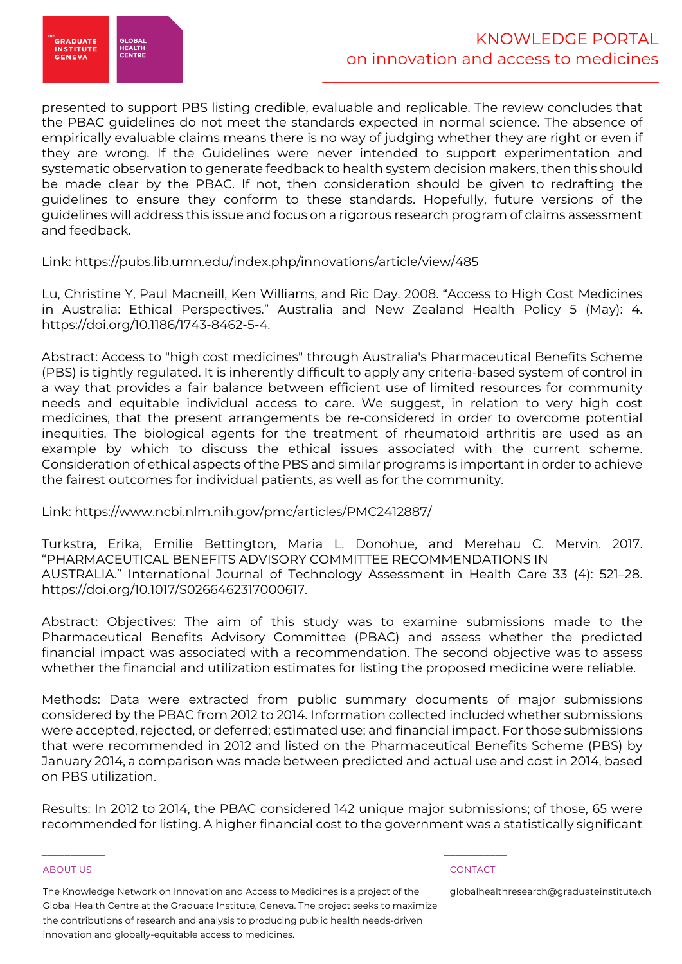

presented to support PBS listing credible, evaluable and replicable. The review concludes that the PBAC guidelines do not meet the standards expected in normal science. The absence of empirically evaluable claims means there is no way of judging whether they are right or even if they are wrong. If the Guidelines were never intended to support experimentation and systematic observation to generate feedback to health system decision makers, then this should be made clear by the PBAC. If not, then consideration should be given to redrafting the guidelines to ensure they conform to these standards. Hopefully, future versions of the guidelines will address this issue and focus on a rigorous research program of claims assessment and feedback.

# Link: https://pubs.lib.umn.edu/index.php/innovations/article/view/485

Lu, Christine Y, Paul Macneill, Ken Williams, and Ric Day. 2008. "Access to High Cost Medicines in Australia: Ethical Perspectives." Australia and New Zealand Health Policy 5 (May): 4. https://doi.org/10.1186/1743-8462-5-4.

Abstract: Access to "high cost medicines" through Australia's Pharmaceutical Benefits Scheme (PBS) is tightly regulated. It is inherently difficult to apply any criteria-based system of control in a way that provides a fair balance between efficient use of limited resources for community needs and equitable individual access to care. We suggest, in relation to very high cost medicines, that the present arrangements be re-considered in order to overcome potential inequities. The biological agents for the treatment of rheumatoid arthritis are used as an example by which to discuss the ethical issues associated with the current scheme. Consideration of ethical aspects of the PBS and similar programs is important in order to achieve the fairest outcomes for individual patients, as well as for the community.

### Link: https://www.ncbi.nlm.nih.gov/pmc/articles/PMC2412887/

Turkstra, Erika, Emilie Bettington, Maria L. Donohue, and Merehau C. Mervin. 2017. "PHARMACEUTICAL BENEFITS ADVISORY COMMITTEE RECOMMENDATIONS IN AUSTRALIA." International Journal of Technology Assessment in Health Care 33 (4): 521–28. https://doi.org/10.1017/S0266462317000617.

Abstract: Objectives: The aim of this study was to examine submissions made to the Pharmaceutical Benefits Advisory Committee (PBAC) and assess whether the predicted financial impact was associated with a recommendation. The second objective was to assess whether the financial and utilization estimates for listing the proposed medicine were reliable.

Methods: Data were extracted from public summary documents of major submissions considered by the PBAC from 2012 to 2014. Information collected included whether submissions were accepted, rejected, or deferred; estimated use; and financial impact. For those submissions that were recommended in 2012 and listed on the Pharmaceutical Benefits Scheme (PBS) by January 2014, a comparison was made between predicted and actual use and cost in 2014, based on PBS utilization.

Results: In 2012 to 2014, the PBAC considered 142 unique major submissions; of those, 65 were recommended for listing. A higher financial cost to the government was a statistically significant

### ABOUT US CONTACT AND RESERVE THE RELEASE OF THE RELEASE OF THE RELEASE OF THE RELEASE OF THE RELEASE OF THE RELEASE OF THE RELEASE OF THE RELEASE OF THE RELEASE OF THE RELEASE OF THE RELEASE OF THE RELEASE OF THE RELEASE O

The Knowledge Network on Innovation and Access to Medicines is a project of the Global Health Centre at the Graduate Institute, Geneva. The project seeks to maximize the contributions of research and analysis to producing public health needs-driven innovation and globally-equitable access to medicines.

 $\frac{1}{2}$  , and the set of the set of the set of the set of the set of the set of the set of the set of the set of the set of the set of the set of the set of the set of the set of the set of the set of the set of the set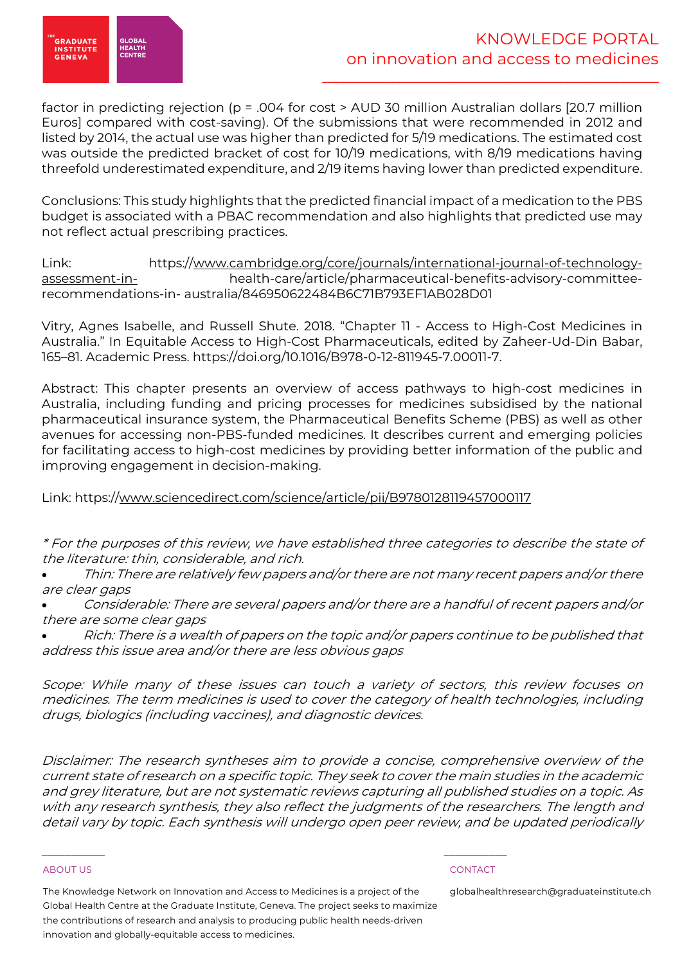

factor in predicting rejection (p = .004 for cost > AUD 30 million Australian dollars [20.7 million Euros] compared with cost-saving). Of the submissions that were recommended in 2012 and listed by 2014, the actual use was higher than predicted for 5/19 medications. The estimated cost was outside the predicted bracket of cost for 10/19 medications, with 8/19 medications having threefold underestimated expenditure, and 2/19 items having lower than predicted expenditure.

Conclusions: This study highlights that the predicted financial impact of a medication to the PBS budget is associated with a PBAC recommendation and also highlights that predicted use may not reflect actual prescribing practices.

Link: https://www.cambridge.org/core/journals/international-journal-of-technologyassessment-in- health-care/article/pharmaceutical-benefits-advisory-committeerecommendations-in- australia/846950622484B6C71B793EF1AB028D01

Vitry, Agnes Isabelle, and Russell Shute. 2018. "Chapter 11 - Access to High-Cost Medicines in Australia." In Equitable Access to High-Cost Pharmaceuticals, edited by Zaheer-Ud-Din Babar, 165–81. Academic Press. https://doi.org/10.1016/B978-0-12-811945-7.00011-7.

Abstract: This chapter presents an overview of access pathways to high-cost medicines in Australia, including funding and pricing processes for medicines subsidised by the national pharmaceutical insurance system, the Pharmaceutical Benefits Scheme (PBS) as well as other avenues for accessing non-PBS-funded medicines. It describes current and emerging policies for facilitating access to high-cost medicines by providing better information of the public and improving engagement in decision-making.

Link: https://www.sciencedirect.com/science/article/pii/B9780128119457000117

\* For the purposes of this review, we have established three categories to describe the state of the literature: thin, considerable, and rich.

• Thin: There are relatively few papers and/or there are not many recent papers and/or there are clear gaps

• Considerable: There are several papers and/or there are a handful of recent papers and/or there are some clear gaps

• Rich: There is a wealth of papers on the topic and/or papers continue to be published that address this issue area and/or there are less obvious gaps

Scope: While many of these issues can touch a variety of sectors, this review focuses on medicines. The term medicines is used to cover the category of health technologies, including drugs, biologics (including vaccines), and diagnostic devices.

Disclaimer: The research syntheses aim to provide a concise, comprehensive overview of the current state of research on a specific topic. They seek to cover the main studies in the academic and grey literature, but are not systematic reviews capturing all published studies on a topic. As with any research synthesis, they also reflect the judgments of the researchers. The length and detail vary by topic. Each synthesis will undergo open peer review, and be updated periodically

### ABOUT US CONTACT AND RESERVE THE RELEASE OF THE RELEASE OF THE RELEASE OF THE RELEASE OF THE RELEASE OF THE RELEASE OF THE RELEASE OF THE RELEASE OF THE RELEASE OF THE RELEASE OF THE RELEASE OF THE RELEASE OF THE RELEASE O

The Knowledge Network on Innovation and Access to Medicines is a project of the Global Health Centre at the Graduate Institute, Geneva. The project seeks to maximize the contributions of research and analysis to producing public health needs-driven innovation and globally-equitable access to medicines.

 $\frac{1}{2}$  , and the set of the set of the set of the set of the set of the set of the set of the set of the set of the set of the set of the set of the set of the set of the set of the set of the set of the set of the set